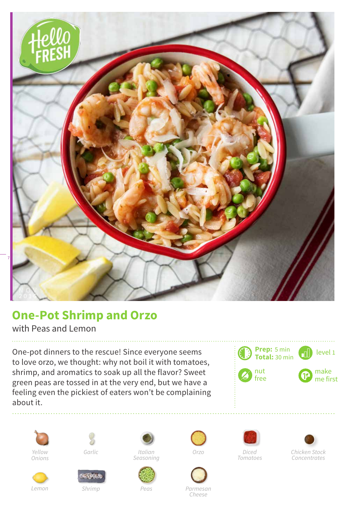

## **One-Pot Shrimp and Orzo**

with Peas and Lemon

One-pot dinners to the rescue! Since everyone seems to love orzo, we thought: why not boil it with tomatoes, shrimp, and aromatics to soak up all the flavor? Sweet green peas are tossed in at the very end, but we have a feeling even the pickiest of eaters won't be complaining about it.





*Lemon*







*Italian*



*Orzo*



*Parmesan Cheese*





*Concentrates*

*Shrimp*

*Peas*